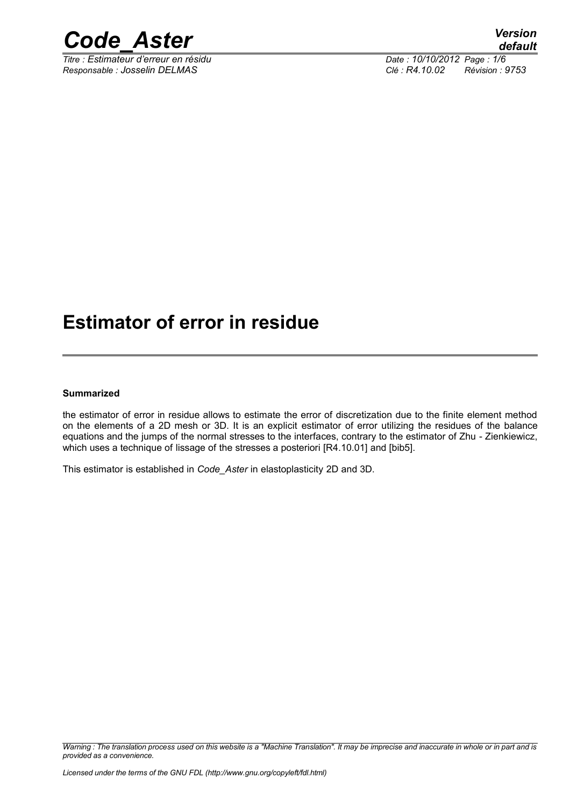

*Titre : Estimateur d'erreur en résidu Date : 10/10/2012 Page : 1/6 Responsable : Josselin DELMAS Clé : R4.10.02 Révision : 9753*

## **Estimator of error in residue**

#### **Summarized**

the estimator of error in residue allows to estimate the error of discretization due to the finite element method on the elements of a 2D mesh or 3D. It is an explicit estimator of error utilizing the residues of the balance equations and the jumps of the normal stresses to the interfaces, contrary to the estimator of Zhu - Zienkiewicz, which uses a technique of lissage of the stresses a posteriori  $[RA.10.01]$  and  $[bib5]$ .

This estimator is established in *Code\_Aster* in elastoplasticity 2D and 3D.

*Warning : The translation process used on this website is a "Machine Translation". It may be imprecise and inaccurate in whole or in part and is provided as a convenience.*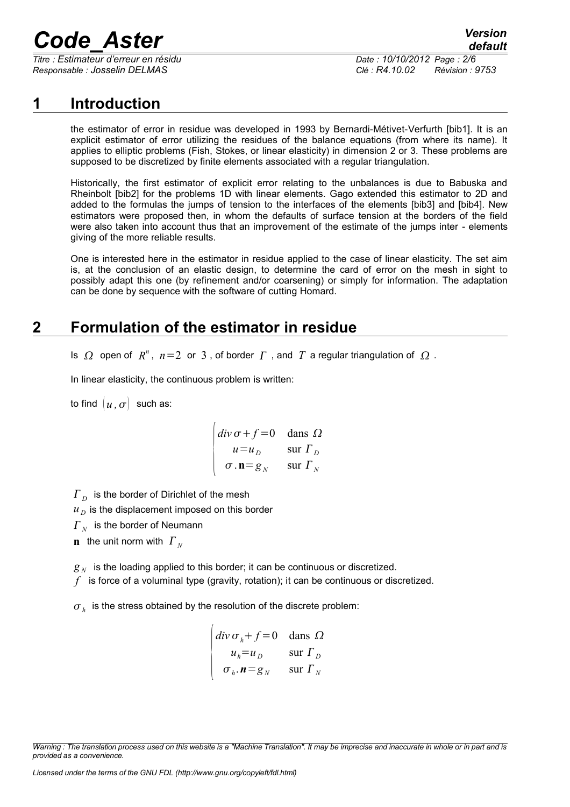# *Code\_Aster Version*

*Titre : Estimateur d'erreur en résidu Date : 10/10/2012 Page : 2/6 Responsable : Josselin DELMAS Clé : R4.10.02 Révision : 9753*

## **1 Introduction**

the estimator of error in residue was developed in 1993 by Bernardi-Métivet-Verfurth [bib1]. It is an explicit estimator of error utilizing the residues of the balance equations (from where its name). It applies to elliptic problems (Fish, Stokes, or linear elasticity) in dimension 2 or 3. These problems are supposed to be discretized by finite elements associated with a regular triangulation.

Historically, the first estimator of explicit error relating to the unbalances is due to Babuska and Rheinbolt [bib2] for the problems 1D with linear elements. Gago extended this estimator to 2D and added to the formulas the jumps of tension to the interfaces of the elements [bib3] and [bib4]. New estimators were proposed then, in whom the defaults of surface tension at the borders of the field were also taken into account thus that an improvement of the estimate of the jumps inter - elements giving of the more reliable results.

One is interested here in the estimator in residue applied to the case of linear elasticity. The set aim is, at the conclusion of an elastic design, to determine the card of error on the mesh in sight to possibly adapt this one (by refinement and/or coarsening) or simply for information. The adaptation can be done by sequence with the software of cutting Homard.

## **2 Formulation of the estimator in residue**

Is  $\Omega$  open of  $R^n$ ,  $n=2$  or 3, of border  $\Gamma$ , and  $T$  a regular triangulation of  $\Omega$ .

In linear elasticity, the continuous problem is written:

to find  $\left[ u \cdot \sigma \right]$  such as:

$$
\begin{vmatrix} \text{div }\sigma + f = 0 & \text{dans }\Omega \\ u = u_D & \text{sur } \Gamma_D \\ \sigma . \mathbf{n} = g_N & \text{sur } \Gamma_N \end{vmatrix}
$$

 $\overline{I}_{\,D}^{\,}$  is the border of Dirichlet of the mesh

 $u<sub>D</sub>$  is the displacement imposed on this border

 $\overline{I}_N^{\vphantom{\dagger}}$  is the border of Neumann

**n** the unit norm with  $\Gamma_N$ 

 $\mathcal{G}_{N}^{\parallel}$  is the loading applied to this border; it can be continuous or discretized.

*f* is force of a voluminal type (gravity, rotation); it can be continuous or discretized.

 $\sigma_{h}^{\parallel}$  is the stress obtained by the resolution of the discrete problem:

$$
\begin{vmatrix} \text{div}\,\sigma_h + f = 0 & \text{dans }\Omega \\ u_h = u_D & \text{sur } \Gamma_D \\ \sigma_h \cdot \mathbf{n} = g_N & \text{sur } \Gamma_N \end{vmatrix}
$$

*Warning : The translation process used on this website is a "Machine Translation". It may be imprecise and inaccurate in whole or in part and is provided as a convenience.*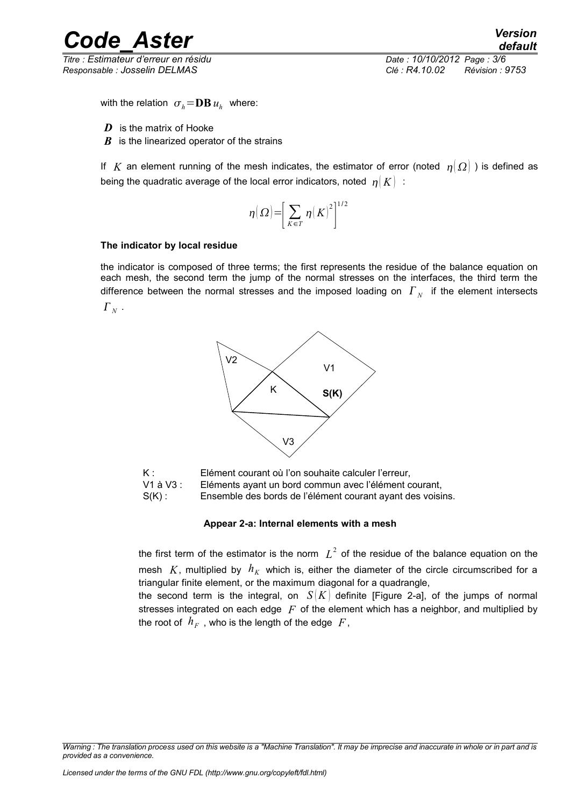## *Code\_Aster Version*

*Titre : Estimateur d'erreur en résidu Date : 10/10/2012 Page : 3/6 Responsable : Josselin DELMAS Clé : R4.10.02 Révision : 9753*

with the relation  $\sigma_h = \mathbf{DB}\, u_h^{\phantom{\dag}}$  where:

- *D* is the matrix of Hooke
- *B* is the linearized operator of the strains

If *K* an element running of the mesh indicates, the estimator of error (noted  $\eta(\Omega)$ ) is defined as being the quadratic average of the local error indicators, noted  $|\eta|K$  :

$$
\eta(\Omega) = \left[\sum_{K \in T} \eta(K)^2\right]^{1/2}
$$

#### **The indicator by local residue**

the indicator is composed of three terms; the first represents the residue of the balance equation on each mesh, the second term the jump of the normal stresses on the interfaces, the third term the difference between the normal stresses and the imposed loading on  $\left. \varGamma _{_{N}}\right.$  if the element intersects  $\Gamma_{_N}$  .



K : Elément courant où l'on souhaite calculer l'erreur, V1 à V3 : Eléments ayant un bord commun avec l'élément courant,

S(K) : Ensemble des bords de l'élément courant ayant des voisins.

#### **Appear 2-a: Internal elements with a mesh**

the first term of the estimator is the norm  $|L^2|$  of the residue of the balance equation on the mesh  $K$ , multiplied by  $h_K$  which is, either the diameter of the circle circumscribed for a triangular finite element, or the maximum diagonal for a quadrangle,

the second term is the integral, on  $S(K)$  definite [Figure 2-a], of the jumps of normal stresses integrated on each edge *F* of the element which has a neighbor, and multiplied by the root of  $\>h_{F}^{}\>$  , who is the length of the edge  $\>F$  ,

*Warning : The translation process used on this website is a "Machine Translation". It may be imprecise and inaccurate in whole or in part and is provided as a convenience.*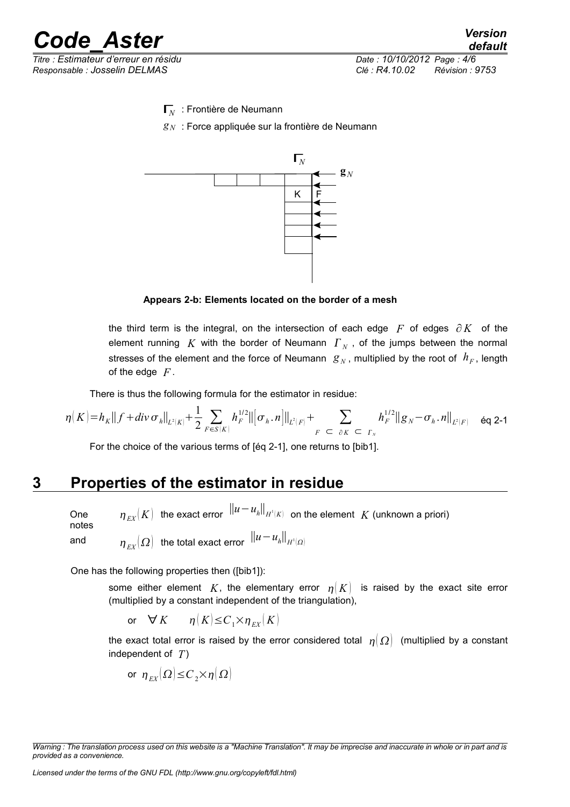

*Responsable : Josselin DELMAS Clé : R4.10.02 Révision : 9753*

Γ*N* : Frontière de Neumann

*g<sup>N</sup>* : Force appliquée sur la frontière de Neumann



**Appears 2-b: Elements located on the border of a mesh**

the third term is the integral, on the intersection of each edge *F* of edges ∂*K* of the element running  $K$  with the border of Neumann  $\Gamma_N$  , of the jumps between the normal stresses of the element and the force of Neumann  $g_N$ , multiplied by the root of  $h_F$ , length of the edge *F* .

There is thus the following formula for the estimator in residue:

$$
\eta(K)=h_K\|f+div\,\sigma_h\|_{L^2(K)}+\frac{1}{2}\sum_{F\in S(K)}h_F^{1/2}\|[\sigma_h,n]\|_{L^2(F)}+\sum_{F\subset\partial K\subset\Gamma_N}h_F^{1/2}\|g_N-\sigma_h,n\|_{L^2(F)}\quad\text{for $2$-1$}
$$

For the choice of the various terms of  $[6a 2-1]$ , one returns to  $[b:b1]$ .

## **3 Properties of the estimator in residue**

One notes  $\eta_{\scriptscriptstyle{EX}}(K)$  the exact error  $\;\|u-u_h\|_{H^1(K)}\;$  on the element  $\;K$  (unknown a priori) and  $\eta_{_{EX}}(\varOmega)$  the total exact error  $\left\|u-u_{_{h}}\right\|_{H^{1}(\varOmega)}$ 

One has the following properties then ([bib1]):

some either element K, the elementary error  $\eta(K)$  is raised by the exact site error (multiplied by a constant independent of the triangulation),

or 
$$
\forall K
$$
  $\eta(K) \leq C_1 \times \eta_{EX}(K)$ 

the exact total error is raised by the error considered total  $\eta(\Omega)$  (multiplied by a constant independent of *T*)

$$
\text{ or } \eta_{\scriptscriptstyle EX}(\varOmega) \leq C_2 \times \eta(\varOmega)
$$

*Licensed under the terms of the GNU FDL (http://www.gnu.org/copyleft/fdl.html)*

*Warning : The translation process used on this website is a "Machine Translation". It may be imprecise and inaccurate in whole or in part and is provided as a convenience.*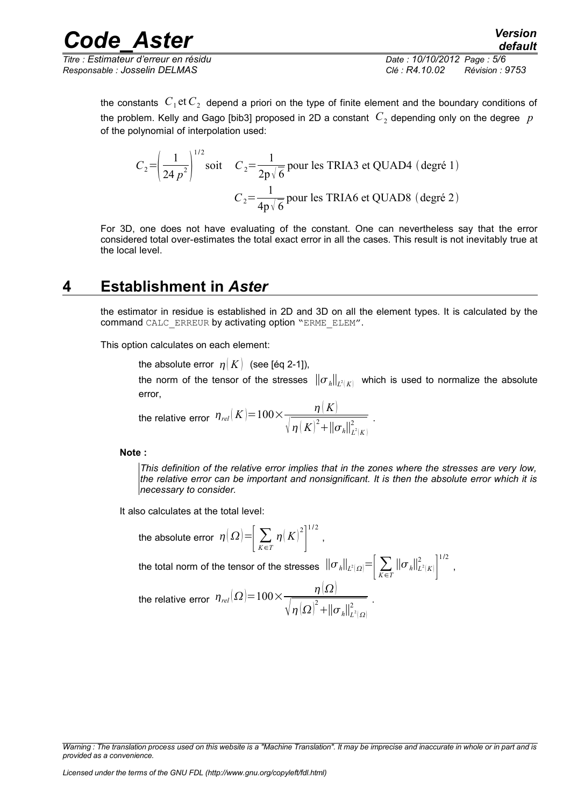*Titre : Estimateur d'erreur en résidu Date : 10/10/2012 Page : 5/6 Responsable : Josselin DELMAS Clé : R4.10.02 Révision : 9753*

the constants  $\,C_{1}$  et $\,C_{2}\,$  depend a priori on the type of finite element and the boundary conditions of the problem. Kelly and Gago [bib3] proposed in 2D a constant  $\,C_2$  depending only on the degree  $\,p$ of the polynomial of interpolation used:

$$
C_2 = \left(\frac{1}{24 p^2}\right)^{1/2} \text{soit} \quad C_2 = \frac{1}{2p\sqrt{6}} \text{ pour les TRIA3 et QUADA (degré 1)}
$$

$$
C_2 = \frac{1}{4p\sqrt{6}} \text{ pour les TRIA6 et QUADS (degré 2)}
$$

For 3D, one does not have evaluating of the constant. One can nevertheless say that the error considered total over-estimates the total exact error in all the cases. This result is not inevitably true at the local level.

### **4 Establishment in** *Aster*

the estimator in residue is established in 2D and 3D on all the element types. It is calculated by the command CALC\_ERREUR by activating option "ERME\_ELEM".

This option calculates on each element:

the absolute error  $\eta(K)$  (see [éq 2-1]),

the norm of the tensor of the stresses  $\|\sigma_{_\hbar}\|_{L^2(K)}$  which is used to normalize the absolute error,  $k = -1$ 

.

,

the relative error 
$$
\eta_{rel}(K) = 100 \times \frac{\eta(K)}{\sqrt{\eta(K)^2 + ||\sigma_h||^2_{L^2(K)}}}
$$

**Note :**

*This definition of the relative error implies that in the zones where the stresses are very low, the relative error can be important and nonsignificant. It is then the absolute error which it is necessary to consider.*

It also calculates at the total level:

the absolute error 
$$
\eta(\Omega) = \left[\sum_{K \in T} \eta(K)^2\right]^{1/2}
$$
,  
\nthe total norm of the tensor of the stresses  $||\sigma_h||_{L^2(\Omega)} = \left[\sum_{K \in T} ||\sigma_h||_{L^2(K)}^2\right]^{1/2}$   
\nthe relative error  $\eta_{rel}(\Omega) = 100 \times \frac{\eta(\Omega)}{\sqrt{\eta(\Omega)^2 + ||\sigma_h||_{L^2(\Omega)}^2}}$ .

*Warning : The translation process used on this website is a "Machine Translation". It may be imprecise and inaccurate in whole or in part and is provided as a convenience.*